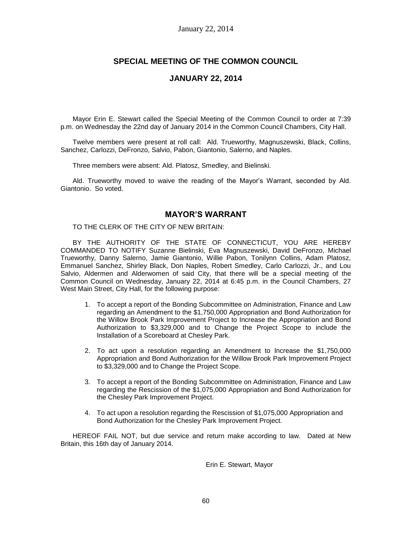# **SPECIAL MEETING OF THE COMMON COUNCIL**

### **JANUARY 22, 2014**

Mayor Erin E. Stewart called the Special Meeting of the Common Council to order at 7:39 p.m. on Wednesday the 22nd day of January 2014 in the Common Council Chambers, City Hall.

Twelve members were present at roll call: Ald. Trueworthy, Magnuszewski, Black, Collins, Sanchez, Carlozzi, DeFronzo, Salvio, Pabon, Giantonio, Salerno, and Naples.

Three members were absent: Ald. Platosz, Smedley, and Bielinski.

Ald. Trueworthy moved to waive the reading of the Mayor's Warrant, seconded by Ald. Giantonio. So voted.

### **MAYOR'S WARRANT**

TO THE CLERK OF THE CITY OF NEW BRITAIN:

BY THE AUTHORITY OF THE STATE OF CONNECTICUT, YOU ARE HEREBY COMMANDED TO NOTIFY Suzanne Bielinski, Eva Magnuszewski, David DeFronzo, Michael Trueworthy, Danny Salerno, Jamie Giantonio, Willie Pabon, Tonilynn Collins, Adam Platosz, Emmanuel Sanchez, Shirley Black, Don Naples, Robert Smedley, Carlo Carlozzi, Jr., and Lou Salvio, Aldermen and Alderwomen of said City, that there will be a special meeting of the Common Council on Wednesday, January 22, 2014 at 6:45 p.m. in the Council Chambers, 27 West Main Street, City Hall, for the following purpose:

- 1. To accept a report of the Bonding Subcommittee on Administration, Finance and Law regarding an Amendment to the \$1,750,000 Appropriation and Bond Authorization for the Willow Brook Park Improvement Project to Increase the Appropriation and Bond Authorization to \$3,329,000 and to Change the Project Scope to include the Installation of a Scoreboard at Chesley Park.
- 2. To act upon a resolution regarding an Amendment to Increase the \$1,750,000 Appropriation and Bond Authorization for the Willow Brook Park Improvement Project to \$3,329,000 and to Change the Project Scope.
- 3. To accept a report of the Bonding Subcommittee on Administration, Finance and Law regarding the Rescission of the \$1,075,000 Appropriation and Bond Authorization for the Chesley Park Improvement Project.
- 4. To act upon a resolution regarding the Rescission of \$1,075,000 Appropriation and Bond Authorization for the Chesley Park Improvement Project.

HEREOF FAIL NOT, but due service and return make according to law. Dated at New Britain, this 16th day of January 2014.

Erin E. Stewart, Mayor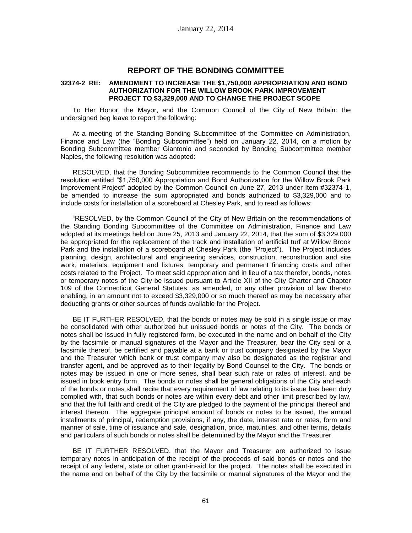### **REPORT OF THE BONDING COMMITTEE**

#### **32374-2 RE: AMENDMENT TO INCREASE THE \$1,750,000 APPROPRIATION AND BOND AUTHORIZATION FOR THE WILLOW BROOK PARK IMPROVEMENT PROJECT TO \$3,329,000 AND TO CHANGE THE PROJECT SCOPE**

To Her Honor, the Mayor, and the Common Council of the City of New Britain: the undersigned beg leave to report the following:

At a meeting of the Standing Bonding Subcommittee of the Committee on Administration, Finance and Law (the "Bonding Subcommittee") held on January 22, 2014, on a motion by Bonding Subcommittee member Giantonio and seconded by Bonding Subcommittee member Naples, the following resolution was adopted:

RESOLVED, that the Bonding Subcommittee recommends to the Common Council that the resolution entitled "\$1,750,000 Appropriation and Bond Authorization for the Willow Brook Park Improvement Project" adopted by the Common Council on June 27, 2013 under Item #32374-1, be amended to increase the sum appropriated and bonds authorized to \$3,329,000 and to include costs for installation of a scoreboard at Chesley Park, and to read as follows:

"RESOLVED, by the Common Council of the City of New Britain on the recommendations of the Standing Bonding Subcommittee of the Committee on Administration, Finance and Law adopted at its meetings held on June 25, 2013 and January 22, 2014, that the sum of \$3,329,000 be appropriated for the replacement of the track and installation of artificial turf at Willow Brook Park and the installation of a scoreboard at Chesley Park (the "Project"). The Project includes planning, design, architectural and engineering services, construction, reconstruction and site work, materials, equipment and fixtures, temporary and permanent financing costs and other costs related to the Project. To meet said appropriation and in lieu of a tax therefor, bonds, notes or temporary notes of the City be issued pursuant to Article XII of the City Charter and Chapter 109 of the Connecticut General Statutes, as amended, or any other provision of law thereto enabling, in an amount not to exceed \$3,329,000 or so much thereof as may be necessary after deducting grants or other sources of funds available for the Project.

BE IT FURTHER RESOLVED, that the bonds or notes may be sold in a single issue or may be consolidated with other authorized but unissued bonds or notes of the City. The bonds or notes shall be issued in fully registered form, be executed in the name and on behalf of the City by the facsimile or manual signatures of the Mayor and the Treasurer, bear the City seal or a facsimile thereof, be certified and payable at a bank or trust company designated by the Mayor and the Treasurer which bank or trust company may also be designated as the registrar and transfer agent, and be approved as to their legality by Bond Counsel to the City. The bonds or notes may be issued in one or more series, shall bear such rate or rates of interest, and be issued in book entry form. The bonds or notes shall be general obligations of the City and each of the bonds or notes shall recite that every requirement of law relating to its issue has been duly complied with, that such bonds or notes are within every debt and other limit prescribed by law, and that the full faith and credit of the City are pledged to the payment of the principal thereof and interest thereon. The aggregate principal amount of bonds or notes to be issued, the annual installments of principal, redemption provisions, if any, the date, interest rate or rates, form and manner of sale, time of issuance and sale, designation, price, maturities, and other terms, details and particulars of such bonds or notes shall be determined by the Mayor and the Treasurer.

BE IT FURTHER RESOLVED, that the Mayor and Treasurer are authorized to issue temporary notes in anticipation of the receipt of the proceeds of said bonds or notes and the receipt of any federal, state or other grant-in-aid for the project. The notes shall be executed in the name and on behalf of the City by the facsimile or manual signatures of the Mayor and the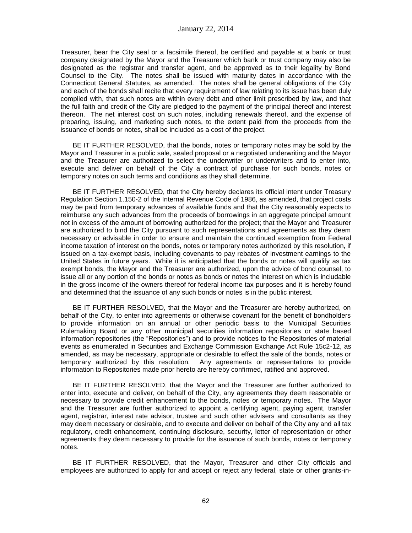Treasurer, bear the City seal or a facsimile thereof, be certified and payable at a bank or trust company designated by the Mayor and the Treasurer which bank or trust company may also be designated as the registrar and transfer agent, and be approved as to their legality by Bond Counsel to the City. The notes shall be issued with maturity dates in accordance with the Connecticut General Statutes, as amended. The notes shall be general obligations of the City and each of the bonds shall recite that every requirement of law relating to its issue has been duly complied with, that such notes are within every debt and other limit prescribed by law, and that the full faith and credit of the City are pledged to the payment of the principal thereof and interest thereon. The net interest cost on such notes, including renewals thereof, and the expense of preparing, issuing, and marketing such notes, to the extent paid from the proceeds from the issuance of bonds or notes, shall be included as a cost of the project.

BE IT FURTHER RESOLVED, that the bonds, notes or temporary notes may be sold by the Mayor and Treasurer in a public sale, sealed proposal or a negotiated underwriting and the Mayor and the Treasurer are authorized to select the underwriter or underwriters and to enter into, execute and deliver on behalf of the City a contract of purchase for such bonds, notes or temporary notes on such terms and conditions as they shall determine.

BE IT FURTHER RESOLVED, that the City hereby declares its official intent under Treasury Regulation Section 1.150-2 of the Internal Revenue Code of 1986, as amended, that project costs may be paid from temporary advances of available funds and that the City reasonably expects to reimburse any such advances from the proceeds of borrowings in an aggregate principal amount not in excess of the amount of borrowing authorized for the project; that the Mayor and Treasurer are authorized to bind the City pursuant to such representations and agreements as they deem necessary or advisable in order to ensure and maintain the continued exemption from Federal income taxation of interest on the bonds, notes or temporary notes authorized by this resolution, if issued on a tax-exempt basis, including covenants to pay rebates of investment earnings to the United States in future years. While it is anticipated that the bonds or notes will qualify as tax exempt bonds, the Mayor and the Treasurer are authorized, upon the advice of bond counsel, to issue all or any portion of the bonds or notes as bonds or notes the interest on which is includable in the gross income of the owners thereof for federal income tax purposes and it is hereby found and determined that the issuance of any such bonds or notes is in the public interest.

BE IT FURTHER RESOLVED, that the Mayor and the Treasurer are hereby authorized, on behalf of the City, to enter into agreements or otherwise covenant for the benefit of bondholders to provide information on an annual or other periodic basis to the Municipal Securities Rulemaking Board or any other municipal securities information repositories or state based information repositories (the "Repositories") and to provide notices to the Repositories of material events as enumerated in Securities and Exchange Commission Exchange Act Rule 15c2-12, as amended, as may be necessary, appropriate or desirable to effect the sale of the bonds, notes or temporary authorized by this resolution. Any agreements or representations to provide information to Repositories made prior hereto are hereby confirmed, ratified and approved.

BE IT FURTHER RESOLVED, that the Mayor and the Treasurer are further authorized to enter into, execute and deliver, on behalf of the City, any agreements they deem reasonable or necessary to provide credit enhancement to the bonds, notes or temporary notes. The Mayor and the Treasurer are further authorized to appoint a certifying agent, paying agent, transfer agent, registrar, interest rate advisor, trustee and such other advisers and consultants as they may deem necessary or desirable, and to execute and deliver on behalf of the City any and all tax regulatory, credit enhancement, continuing disclosure, security, letter of representation or other agreements they deem necessary to provide for the issuance of such bonds, notes or temporary notes.

BE IT FURTHER RESOLVED, that the Mayor, Treasurer and other City officials and employees are authorized to apply for and accept or reject any federal, state or other grants-in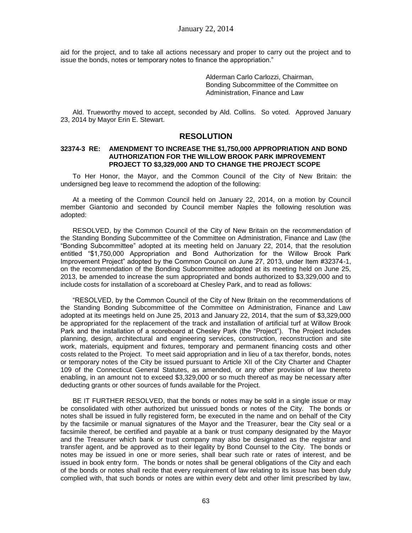aid for the project, and to take all actions necessary and proper to carry out the project and to issue the bonds, notes or temporary notes to finance the appropriation."

> Alderman Carlo Carlozzi, Chairman, Bonding Subcommittee of the Committee on Administration, Finance and Law

Ald. Trueworthy moved to accept, seconded by Ald. Collins. So voted. Approved January 23, 2014 by Mayor Erin E. Stewart.

### **RESOLUTION**

#### **32374-3 RE: AMENDMENT TO INCREASE THE \$1,750,000 APPROPRIATION AND BOND AUTHORIZATION FOR THE WILLOW BROOK PARK IMPROVEMENT PROJECT TO \$3,329,000 AND TO CHANGE THE PROJECT SCOPE**

To Her Honor, the Mayor, and the Common Council of the City of New Britain: the undersigned beg leave to recommend the adoption of the following:

At a meeting of the Common Council held on January 22, 2014, on a motion by Council member Giantonio and seconded by Council member Naples the following resolution was adopted:

RESOLVED, by the Common Council of the City of New Britain on the recommendation of the Standing Bonding Subcommittee of the Committee on Administration, Finance and Law (the "Bonding Subcommittee" adopted at its meeting held on January 22, 2014, that the resolution entitled "\$1,750,000 Appropriation and Bond Authorization for the Willow Brook Park Improvement Project" adopted by the Common Council on June 27, 2013, under Item #32374-1, on the recommendation of the Bonding Subcommittee adopted at its meeting held on June 25, 2013, be amended to increase the sum appropriated and bonds authorized to \$3,329,000 and to include costs for installation of a scoreboard at Chesley Park, and to read as follows:

"RESOLVED, by the Common Council of the City of New Britain on the recommendations of the Standing Bonding Subcommittee of the Committee on Administration, Finance and Law adopted at its meetings held on June 25, 2013 and January 22, 2014, that the sum of \$3,329,000 be appropriated for the replacement of the track and installation of artificial turf at Willow Brook Park and the installation of a scoreboard at Chesley Park (the "Project"). The Project includes planning, design, architectural and engineering services, construction, reconstruction and site work, materials, equipment and fixtures, temporary and permanent financing costs and other costs related to the Project. To meet said appropriation and in lieu of a tax therefor, bonds, notes or temporary notes of the City be issued pursuant to Article XII of the City Charter and Chapter 109 of the Connecticut General Statutes, as amended, or any other provision of law thereto enabling, in an amount not to exceed \$3,329,000 or so much thereof as may be necessary after deducting grants or other sources of funds available for the Project.

BE IT FURTHER RESOLVED, that the bonds or notes may be sold in a single issue or may be consolidated with other authorized but unissued bonds or notes of the City. The bonds or notes shall be issued in fully registered form, be executed in the name and on behalf of the City by the facsimile or manual signatures of the Mayor and the Treasurer, bear the City seal or a facsimile thereof, be certified and payable at a bank or trust company designated by the Mayor and the Treasurer which bank or trust company may also be designated as the registrar and transfer agent, and be approved as to their legality by Bond Counsel to the City. The bonds or notes may be issued in one or more series, shall bear such rate or rates of interest, and be issued in book entry form. The bonds or notes shall be general obligations of the City and each of the bonds or notes shall recite that every requirement of law relating to its issue has been duly complied with, that such bonds or notes are within every debt and other limit prescribed by law,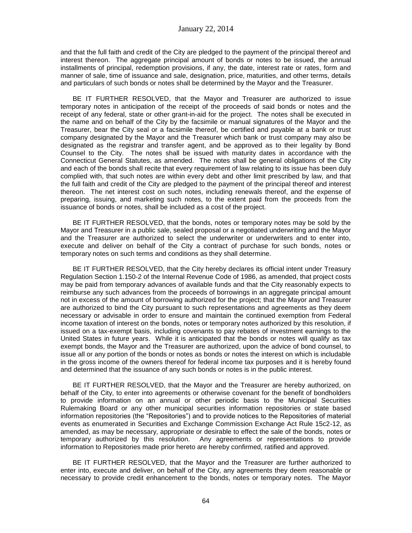and that the full faith and credit of the City are pledged to the payment of the principal thereof and interest thereon. The aggregate principal amount of bonds or notes to be issued, the annual installments of principal, redemption provisions, if any, the date, interest rate or rates, form and manner of sale, time of issuance and sale, designation, price, maturities, and other terms, details and particulars of such bonds or notes shall be determined by the Mayor and the Treasurer.

BE IT FURTHER RESOLVED, that the Mayor and Treasurer are authorized to issue temporary notes in anticipation of the receipt of the proceeds of said bonds or notes and the receipt of any federal, state or other grant-in-aid for the project. The notes shall be executed in the name and on behalf of the City by the facsimile or manual signatures of the Mayor and the Treasurer, bear the City seal or a facsimile thereof, be certified and payable at a bank or trust company designated by the Mayor and the Treasurer which bank or trust company may also be designated as the registrar and transfer agent, and be approved as to their legality by Bond Counsel to the City. The notes shall be issued with maturity dates in accordance with the Connecticut General Statutes, as amended. The notes shall be general obligations of the City and each of the bonds shall recite that every requirement of law relating to its issue has been duly complied with, that such notes are within every debt and other limit prescribed by law, and that the full faith and credit of the City are pledged to the payment of the principal thereof and interest thereon. The net interest cost on such notes, including renewals thereof, and the expense of preparing, issuing, and marketing such notes, to the extent paid from the proceeds from the issuance of bonds or notes, shall be included as a cost of the project.

BE IT FURTHER RESOLVED, that the bonds, notes or temporary notes may be sold by the Mayor and Treasurer in a public sale, sealed proposal or a negotiated underwriting and the Mayor and the Treasurer are authorized to select the underwriter or underwriters and to enter into, execute and deliver on behalf of the City a contract of purchase for such bonds, notes or temporary notes on such terms and conditions as they shall determine.

BE IT FURTHER RESOLVED, that the City hereby declares its official intent under Treasury Regulation Section 1.150-2 of the Internal Revenue Code of 1986, as amended, that project costs may be paid from temporary advances of available funds and that the City reasonably expects to reimburse any such advances from the proceeds of borrowings in an aggregate principal amount not in excess of the amount of borrowing authorized for the project; that the Mayor and Treasurer are authorized to bind the City pursuant to such representations and agreements as they deem necessary or advisable in order to ensure and maintain the continued exemption from Federal income taxation of interest on the bonds, notes or temporary notes authorized by this resolution, if issued on a tax-exempt basis, including covenants to pay rebates of investment earnings to the United States in future years. While it is anticipated that the bonds or notes will qualify as tax exempt bonds, the Mayor and the Treasurer are authorized, upon the advice of bond counsel, to issue all or any portion of the bonds or notes as bonds or notes the interest on which is includable in the gross income of the owners thereof for federal income tax purposes and it is hereby found and determined that the issuance of any such bonds or notes is in the public interest.

BE IT FURTHER RESOLVED, that the Mayor and the Treasurer are hereby authorized, on behalf of the City, to enter into agreements or otherwise covenant for the benefit of bondholders to provide information on an annual or other periodic basis to the Municipal Securities Rulemaking Board or any other municipal securities information repositories or state based information repositories (the "Repositories") and to provide notices to the Repositories of material events as enumerated in Securities and Exchange Commission Exchange Act Rule 15c2-12, as amended, as may be necessary, appropriate or desirable to effect the sale of the bonds, notes or temporary authorized by this resolution. Any agreements or representations to provide information to Repositories made prior hereto are hereby confirmed, ratified and approved.

BE IT FURTHER RESOLVED, that the Mayor and the Treasurer are further authorized to enter into, execute and deliver, on behalf of the City, any agreements they deem reasonable or necessary to provide credit enhancement to the bonds, notes or temporary notes. The Mayor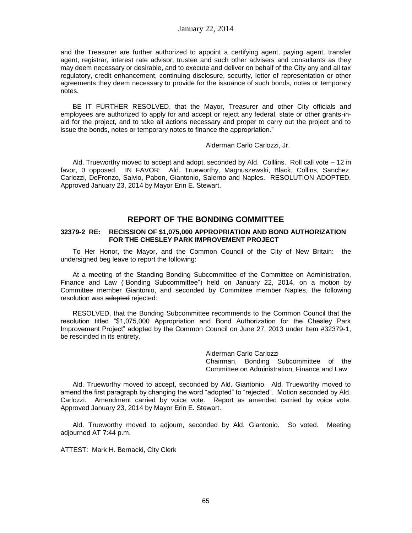and the Treasurer are further authorized to appoint a certifying agent, paying agent, transfer agent, registrar, interest rate advisor, trustee and such other advisers and consultants as they may deem necessary or desirable, and to execute and deliver on behalf of the City any and all tax regulatory, credit enhancement, continuing disclosure, security, letter of representation or other agreements they deem necessary to provide for the issuance of such bonds, notes or temporary notes.

BE IT FURTHER RESOLVED, that the Mayor, Treasurer and other City officials and employees are authorized to apply for and accept or reject any federal, state or other grants-inaid for the project, and to take all actions necessary and proper to carry out the project and to issue the bonds, notes or temporary notes to finance the appropriation."

Alderman Carlo Carlozzi, Jr.

Ald. Trueworthy moved to accept and adopt, seconded by Ald. Colllins. Roll call vote – 12 in favor, 0 opposed. IN FAVOR: Ald. Trueworthy, Magnuszewski, Black, Collins, Sanchez, Carlozzi, DeFronzo, Salvio, Pabon, Giantonio, Salerno and Naples. RESOLUTION ADOPTED. Approved January 23, 2014 by Mayor Erin E. Stewart.

## **REPORT OF THE BONDING COMMITTEE**

#### **32379-2 RE: RECISSION OF \$1,075,000 APPROPRIATION AND BOND AUTHORIZATION FOR THE CHESLEY PARK IMPROVEMENT PROJECT**

To Her Honor, the Mayor, and the Common Council of the City of New Britain: the undersigned beg leave to report the following:

At a meeting of the Standing Bonding Subcommittee of the Committee on Administration, Finance and Law ("Bonding Subcommittee") held on January 22, 2014, on a motion by Committee member Giantonio, and seconded by Committee member Naples, the following resolution was adopted rejected:

RESOLVED, that the Bonding Subcommittee recommends to the Common Council that the resolution titled "\$1,075,000 Appropriation and Bond Authorization for the Chesley Park Improvement Project" adopted by the Common Council on June 27, 2013 under Item #32379-1, be rescinded in its entirety.

> Alderman Carlo Carlozzi Chairman, Bonding Subcommittee of the Committee on Administration, Finance and Law

Ald. Trueworthy moved to accept, seconded by Ald. Giantonio. Ald. Trueworthy moved to amend the first paragraph by changing the word "adopted" to "rejected". Motion seconded by Ald. Carlozzi. Amendment carried by voice vote. Report as amended carried by voice vote. Approved January 23, 2014 by Mayor Erin E. Stewart.

Ald. Trueworthy moved to adjourn, seconded by Ald. Giantonio. So voted. Meeting adjourned AT 7:44 p.m.

ATTEST: Mark H. Bernacki, City Clerk